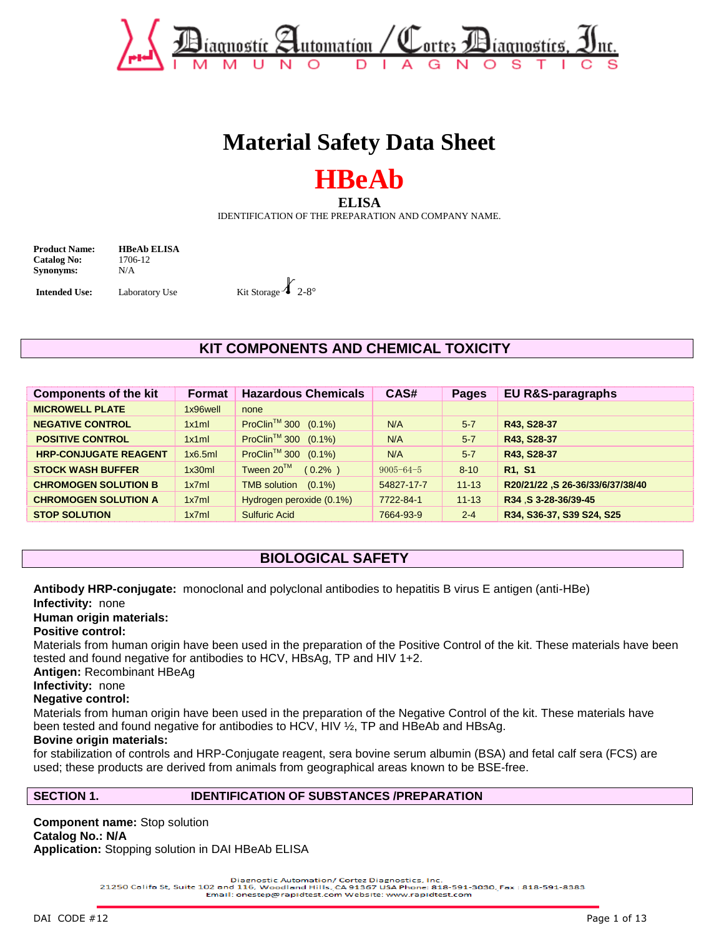

# **Material Safety Data Sheet**

# **HBeAb**

**ELISA** 

IDENTIFICATION OF THE PREPARATION AND COMPANY NAME.

**Product Name: HBeAb ELISA Catalog No:** 1706-12 **Synonyms:** N/A

**Intended Use:** Laboratory Use Kit Storage  $\chi$  2-8°

# **KIT COMPONENTS AND CHEMICAL TOXICITY**

| <b>Components of the kit</b> | Format   | <b>Hazardous Chemicals</b>       | CAS#            | <b>Pages</b> | EU R&S-paragraphs                |
|------------------------------|----------|----------------------------------|-----------------|--------------|----------------------------------|
| <b>MICROWELL PLATE</b>       | 1x96well | none                             |                 |              |                                  |
| <b>NEGATIVE CONTROL</b>      | 1x1ml    | ProClin <sup>™</sup> 300 (0.1%)  | N/A             | $5 - 7$      | R43, S28-37                      |
| <b>POSITIVE CONTROL</b>      | 1x1ml    | ProClin <sup>™</sup> 300 (0.1%)  | N/A             | $5 - 7$      | R43, S28-37                      |
| <b>HRP-CONJUGATE REAGENT</b> | 1x6.5m   | ProClin <sup>™</sup> 300 (0.1%)  | N/A             | $5 - 7$      | R43, S28-37                      |
| <b>STOCK WASH BUFFER</b>     | 1x30ml   | Tween 20™<br>$(0.2\% )$          | $9005 - 64 - 5$ | $8 - 10$     | R <sub>1</sub> , S <sub>1</sub>  |
| <b>CHROMOGEN SOLUTION B</b>  | 1x7ml    | <b>TMB</b> solution<br>$(0.1\%)$ | 54827-17-7      | $11 - 13$    | R20/21/22 ,S 26-36/33/6/37/38/40 |
| <b>CHROMOGEN SOLUTION A</b>  | 1x7ml    | Hydrogen peroxide (0.1%)         | 7722-84-1       | $11 - 13$    | R34 S 3-28-36/39-45              |
| <b>STOP SOLUTION</b>         | 1x7ml    | <b>Sulfuric Acid</b>             | 7664-93-9       | $2-4$        | R34, S36-37, S39 S24, S25        |

# **BIOLOGICAL SAFETY**

**Antibody HRP-conjugate:** monoclonal and polyclonal antibodies to hepatitis B virus E antigen (anti-HBe) **Infectivity:** none

**Human origin materials:** 

### **Positive control:**

Materials from human origin have been used in the preparation of the Positive Control of the kit. These materials have been tested and found negative for antibodies to HCV, HBsAg, TP and HIV 1+2.

**Antigen:** Recombinant HBeAg

## **Infectivity:** none

### **Negative control:**

Materials from human origin have been used in the preparation of the Negative Control of the kit. These materials have been tested and found negative for antibodies to HCV, HIV ½, TP and HBeAb and HBsAg.

### **Bovine origin materials:**

for stabilization of controls and HRP-Conjugate reagent, sera bovine serum albumin (BSA) and fetal calf sera (FCS) are used; these products are derived from animals from geographical areas known to be BSE-free.

### **SECTION 1. IDENTIFICATION OF SUBSTANCES /PREPARATION**

**Component name:** Stop solution **Catalog No.: N/A Application:** Stopping solution in DAI HBeAb ELISA

Diagnostic Automation/ Cortez Diagnostics, Inc.<br>21250 Califa St, Suite 102 and 116, Woodland Hills, CA 91367 USA Phone: 818-591-3030, Fax: 818-591-8383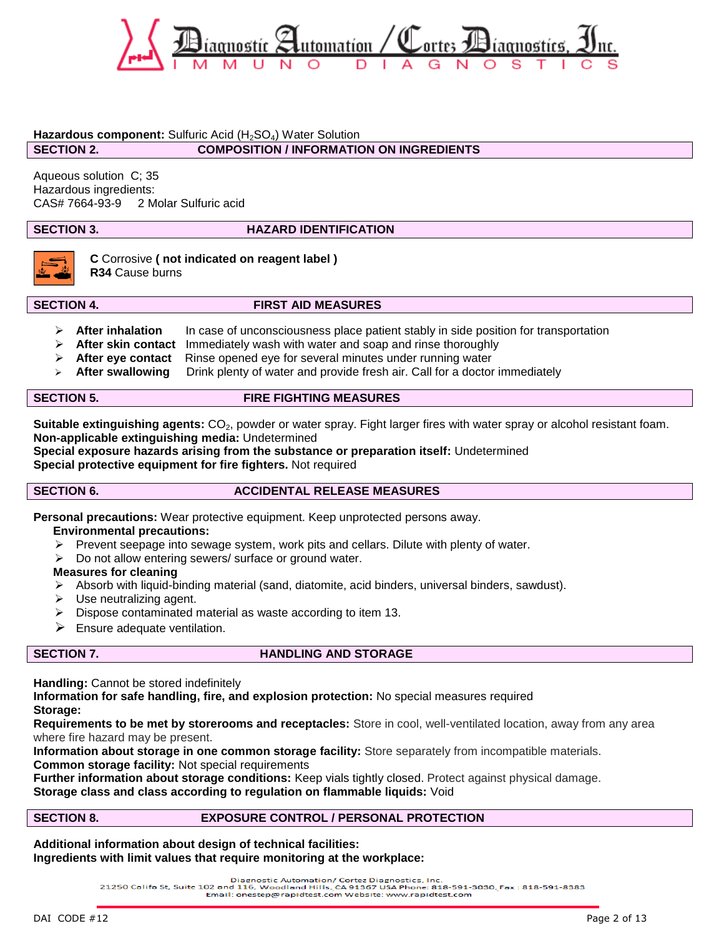

### Hazardous component: Sulfuric Acid (H<sub>2</sub>SO<sub>4</sub>) Water Solution

### **SECTION 2. COMPOSITION / INFORMATION ON INGREDIENTS**

Aqueous solution C; 35 Hazardous ingredients: CAS# 7664-93-9 2 Molar Sulfuric acid

## **SECTION 3. HAZARD IDENTIFICATION**



**C** Corrosive **( not indicated on reagent label ) R34** Cause burns

### **SECTION 4. FIRST AID MEASURES**

- **EXECTER After inhalation** In case of unconsciousness place patient stably in side position for transportation
- **After skin contact** Immediately wash with water and soap and rinse thoroughly
- **After eye contact** Rinse opened eye for several minutes under running water
- **After swallowing** Drink plenty of water and provide fresh air. Call for a doctor immediately

### **SECTION 5. FIRE FIGHTING MEASURES**

**Suitable extinguishing agents:** CO<sub>2</sub>, powder or water spray. Fight larger fires with water spray or alcohol resistant foam. **Non-applicable extinguishing media:** Undetermined

**Special exposure hazards arising from the substance or preparation itself:** Undetermined **Special protective equipment for fire fighters.** Not required

### **SECTION 6.** ACCIDENTAL RELEASE MEASURES

**Personal precautions:** Wear protective equipment. Keep unprotected persons away.

### **Environmental precautions:**

- $\triangleright$  Prevent seepage into sewage system, work pits and cellars. Dilute with plenty of water.
- $\triangleright$  Do not allow entering sewers/ surface or ground water.

### **Measures for cleaning**

- $\triangleright$  Absorb with liquid-binding material (sand, diatomite, acid binders, universal binders, sawdust).
- $\triangleright$  Use neutralizing agent.
- $\triangleright$  Dispose contaminated material as waste according to item 13.
- $\triangleright$  Ensure adequate ventilation.

### **SECTION 7.** HANDLING AND STORAGE

**Handling:** Cannot be stored indefinitely

**Information for safe handling, fire, and explosion protection:** No special measures required **Storage:**

**Requirements to be met by storerooms and receptacles:** Store in cool, well-ventilated location, away from any area where fire hazard may be present.

**Information about storage in one common storage facility:** Store separately from incompatible materials. **Common storage facility:** Not special requirements

**Further information about storage conditions:** Keep vials tightly closed. Protect against physical damage.

### **Storage class and class according to regulation on flammable liquids:** Void

# **SECTION 8. EXPOSURE CONTROL / PERSONAL PROTECTION**

**Additional information about design of technical facilities: Ingredients with limit values that require monitoring at the workplace:**

Diagnostic Automation/ Cortez Diagnostics, Inc.<br>21250 Califa St, Suite 102 and 116, Woodland Hills, CA 91367 USA Phone: 818-591-3030, Fax: 818-591-8383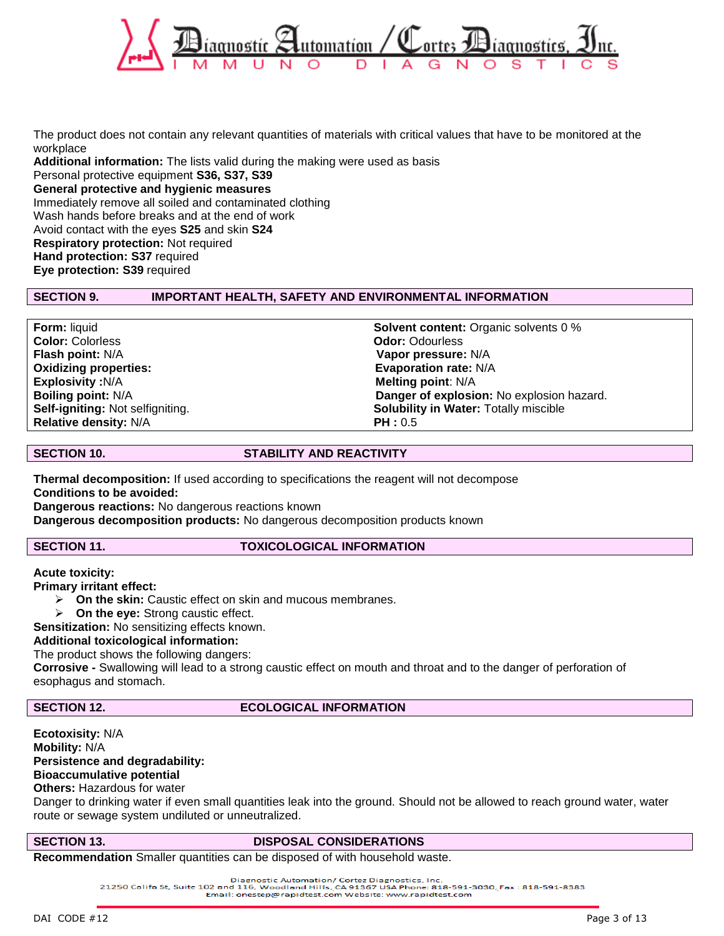

The product does not contain any relevant quantities of materials with critical values that have to be monitored at the workplace **Additional information:** The lists valid during the making were used as basis

Personal protective equipment **S36, S37, S39 General protective and hygienic measures** Immediately remove all soiled and contaminated clothing Wash hands before breaks and at the end of work Avoid contact with the eyes **S25** and skin **S24 Respiratory protection:** Not required **Hand protection: S37** required **Eye protection: S39** required

### **SECTION 9. IMPORTANT HEALTH, SAFETY AND ENVIRONMENTAL INFORMATION**

**Color:** Colorless **Odor:** Odourless **Flash point:** N/A **Vapor pressure:** N/A **Oxidizing properties:** The contract of the contract of the Evaporation rate: N/A **Explosivity :**N/A **Melting point:** N/A **Relative density:**  $N/A$  **PH : 0.5** 

**Form:** liquid **Solvent content:** Organic solvents 0 % **Boiling point:** N/A **Danger of explosion:** No explosion hazard. **Self-igniting:** Not selfigniting. **Solubility in Water:** Totally miscible

### **SECTION 10. STABILITY AND REACTIVITY**

**Thermal decomposition:** If used according to specifications the reagent will not decompose **Conditions to be avoided: Dangerous reactions:** No dangerous reactions known

**Dangerous decomposition products:** No dangerous decomposition products known

### **SECTION 11. TOXICOLOGICAL INFORMATION**

**Acute toxicity:**

**Primary irritant effect:**

- **On the skin:** Caustic effect on skin and mucous membranes.
- **On the eye:** Strong caustic effect.

**Sensitization:** No sensitizing effects known.

### **Additional toxicological information:**

The product shows the following dangers:

**Corrosive -** Swallowing will lead to a strong caustic effect on mouth and throat and to the danger of perforation of esophagus and stomach.

### **SECTION 12.** ECOLOGICAL INFORMATION

**Ecotoxisity:** N/A **Mobility:** N/A **Persistence and degradability: Bioaccumulative potential Others:** Hazardous for water

Danger to drinking water if even small quantities leak into the ground. Should not be allowed to reach ground water, water route or sewage system undiluted or unneutralized.

### **SECTION 13. DISPOSAL CONSIDERATIONS**

**Recommendation** Smaller quantities can be disposed of with household waste.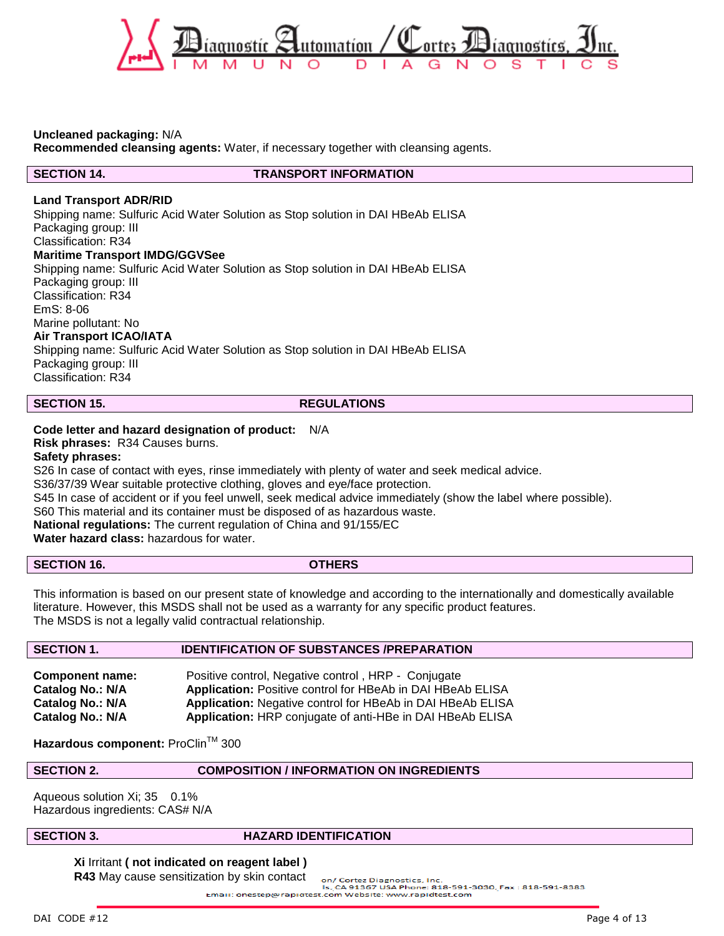

### **Uncleaned packaging:** N/A

**Recommended cleansing agents:** Water, if necessary together with cleansing agents.

**SECTION 14. TRANSPORT INFORMATION**

### **Land Transport ADR/RID**

Shipping name: Sulfuric Acid Water Solution as Stop solution in DAI HBeAb ELISA Packaging group: III Classification: R34 **Maritime Transport IMDG/GGVSee** Shipping name: Sulfuric Acid Water Solution as Stop solution in DAI HBeAb ELISA Packaging group: III Classification: R34

EmS: 8-06 Marine pollutant: No

### **Air Transport ICAO/IATA**

Shipping name: Sulfuric Acid Water Solution as Stop solution in DAI HBeAb ELISA Packaging group: III Classification: R34

### **SECTION 15.** REGULATIONS

**Code letter and hazard designation of product:** N/A

**Risk phrases:** R34 Causes burns.

### **Safety phrases:**

S26 In case of contact with eyes, rinse immediately with plenty of water and seek medical advice.

S36/37/39 Wear suitable protective clothing, gloves and eye/face protection.

S45 In case of accident or if you feel unwell, seek medical advice immediately (show the label where possible).

S60 This material and its container must be disposed of as hazardous waste.

**National regulations:** The current regulation of China and 91/155/EC

**Water hazard class:** hazardous for water.

|  | <b>SECTION 16.</b> |
|--|--------------------|
|--|--------------------|

**SECTION 16. OTHERS**

This information is based on our present state of knowledge and according to the internationally and domestically available literature. However, this MSDS shall not be used as a warranty for any specific product features. The MSDS is not a legally valid contractual relationship.

### **SECTION 1. IDENTIFICATION OF SUBSTANCES /PREPARATION**

| <b>Component name:</b> | Positive control, Negative control, HRP - Conjugate               |
|------------------------|-------------------------------------------------------------------|
| Catalog No.: N/A       | <b>Application:</b> Positive control for HBeAb in DAI HBeAb ELISA |
| Catalog No.: N/A       | <b>Application:</b> Negative control for HBeAb in DAI HBeAb ELISA |
| Catalog No.: N/A       | Application: HRP conjugate of anti-HBe in DAI HBeAb ELISA         |

Hazardous component: ProClin™ 300

**SECTION 2. COMPOSITION / INFORMATION ON INGREDIENTS** 

Aqueous solution Xi; 35 0.1% Hazardous ingredients: CAS# N/A

### **SECTION 3. HAZARD IDENTIFICATION**

**Xi** Irritant **( not indicated on reagent label ) R43** May cause sensitization by skin contact

on/ Cortez Diagnostics, Inc.<br>|ls, CA 91367 USA Phone: 818-591-3030, Fax : 818-591-8383 Email: onestep@rapidtest.com Website: www.rapidtest.com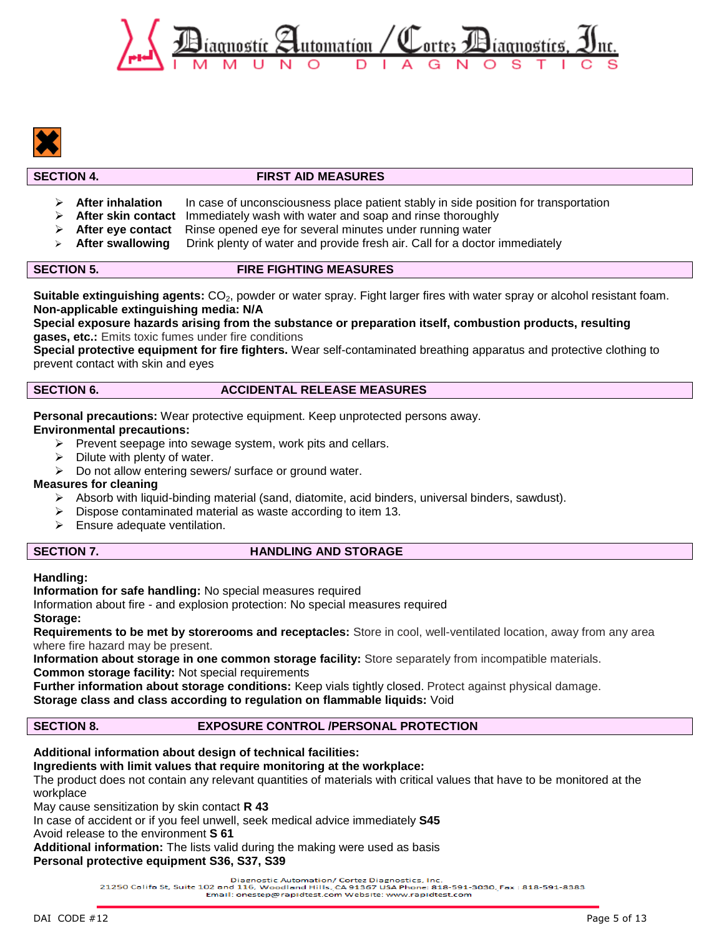



### **SECTION 4. FIRST AID MEASURES**

- **After inhalation** In case of unconsciousness place patient stably in side position for transportation
- **After skin contact** Immediately wash with water and soap and rinse thoroughly
- **After eye contact** Rinse opened eye for several minutes under running water
- **After swallowing** Drink plenty of water and provide fresh air. Call for a doctor immediately

### **SECTION 5. FIRE FIGHTING MEASURES**

Suitable extinguishing agents: CO<sub>2</sub>, powder or water spray. Fight larger fires with water spray or alcohol resistant foam. **Non-applicable extinguishing media: N/A**

**Special exposure hazards arising from the substance or preparation itself, combustion products, resulting gases, etc.:** Emits toxic fumes under fire conditions

**Special protective equipment for fire fighters.** Wear self-contaminated breathing apparatus and protective clothing to prevent contact with skin and eyes

### **SECTION 6.** ACCIDENTAL RELEASE MEASURES

**Personal precautions:** Wear protective equipment. Keep unprotected persons away.

- **Environmental precautions:**
	- $\triangleright$  Prevent seepage into sewage system, work pits and cellars.
	- Dilute with plenty of water.
	- $\triangleright$  Do not allow entering sewers/ surface or ground water.

### **Measures for cleaning**

- Absorb with liquid-binding material (sand, diatomite, acid binders, universal binders, sawdust).
- $\triangleright$  Dispose contaminated material as waste according to item 13.
- $\triangleright$  Ensure adequate ventilation.

### **SECTION 7.** HANDLING AND STORAGE

### **Handling:**

**Information for safe handling:** No special measures required

Information about fire - and explosion protection: No special measures required **Storage:**

**Requirements to be met by storerooms and receptacles:** Store in cool, well-ventilated location, away from any area where fire hazard may be present.

**Information about storage in one common storage facility:** Store separately from incompatible materials. **Common storage facility:** Not special requirements

**Further information about storage conditions:** Keep vials tightly closed. Protect against physical damage. **Storage class and class according to regulation on flammable liquids:** Void

# **SECTION 8. EXPOSURE CONTROL /PERSONAL PROTECTION**

### **Additional information about design of technical facilities:**

**Ingredients with limit values that require monitoring at the workplace:**

The product does not contain any relevant quantities of materials with critical values that have to be monitored at the workplace

May cause sensitization by skin contact **R 43**

In case of accident or if you feel unwell, seek medical advice immediately **S45**

Avoid release to the environment **S 61**

**Additional information:** The lists valid during the making were used as basis **Personal protective equipment S36, S37, S39**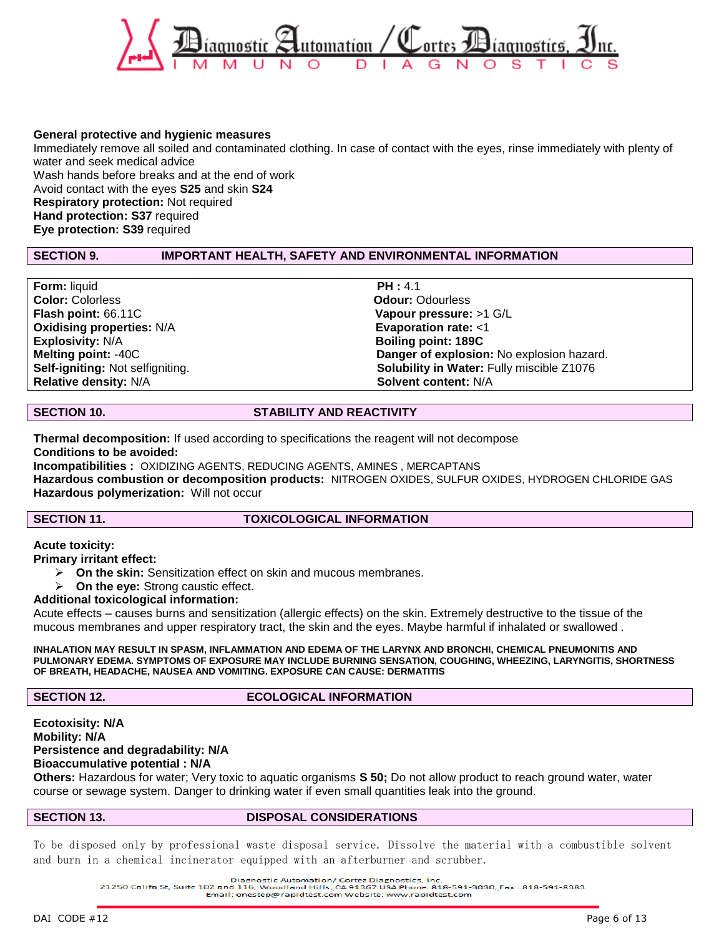

### **General protective and hygienic measures**

Immediately remove all soiled and contaminated clothing. In case of contact with the eyes, rinse immediately with plenty of water and seek medical advice Wash hands before breaks and at the end of work Avoid contact with the eyes **S25** and skin **S24 Respiratory protection:** Not required **Hand protection: S37** required **Eye protection: S39** required

### **SECTION 9. IMPORTANT HEALTH, SAFETY AND ENVIRONMENTAL INFORMATION**

**Form:** liquid **PH :** 4.1 **Color:** Colorless **Odour:** Odourless **Flash point:** 66.11C **Vapour pressure:** >1 G/L **Oxidising properties:** N/A **Evaporation rate:** <1 **Explosivity:** N/A **Boiling point: 189C Relative density: N/A Solvent content:** N/A

**Melting point:** -40C **Danger of explosion:** No explosion hazard. **Solubility in Water: Fully miscible Z1076** 

### **SECTION 10. STABILITY AND REACTIVITY**

**Thermal decomposition:** If used according to specifications the reagent will not decompose **Conditions to be avoided:**

**Incompatibilities :** OXIDIZING AGENTS, REDUCING AGENTS, AMINES , MERCAPTANS **Hazardous combustion or decomposition products:** NITROGEN OXIDES, SULFUR OXIDES, HYDROGEN CHLORIDE GAS

**Hazardous polymerization:** Will not occur

### **SECTION 11. TOXICOLOGICAL INFORMATION**

**Acute toxicity:**

**Primary irritant effect:**

- **On the skin:** Sensitization effect on skin and mucous membranes.
- **On the eye:** Strong caustic effect.

### **Additional toxicological information:**

Acute effects – causes burns and sensitization (allergic effects) on the skin. Extremely destructive to the tissue of the mucous membranes and upper respiratory tract, the skin and the eyes. Maybe harmful if inhalated or swallowed .

**INHALATION MAY RESULT IN SPASM, INFLAMMATION AND EDEMA OF THE LARYNX AND BRONCHI, CHEMICAL PNEUMONITIS AND PULMONARY EDEMA. SYMPTOMS OF EXPOSURE MAY INCLUDE BURNING SENSATION, COUGHING, WHEEZING, LARYNGITIS, SHORTNESS OF BREATH, HEADACHE, NAUSEA AND VOMITING. EXPOSURE CAN CAUSE: DERMATITIS**

### **SECTION 12.** ECOLOGICAL INFORMATION

### **Ecotoxisity: N/A Mobility: N/A Persistence and degradability: N/A Bioaccumulative potential : N/A**

**Others:** Hazardous for water; Very toxic to aquatic organisms **S 50;** Do not allow product to reach ground water, water course or sewage system. Danger to drinking water if even small quantities leak into the ground.

### **SECTION 13. DISPOSAL CONSIDERATIONS**

To be disposed only by professional waste disposal service. Dissolve the material with a combustible solvent and burn in a chemical incinerator equipped with an afterburner and scrubber.

Diagnostic Automation/ Cortez Diagnostics, Inc.<br>21250 Califa St, Suite 102 and 116, Woodland Hills, CA 91367 USA Phone: 818-591-3030, Fax: 818-591-8383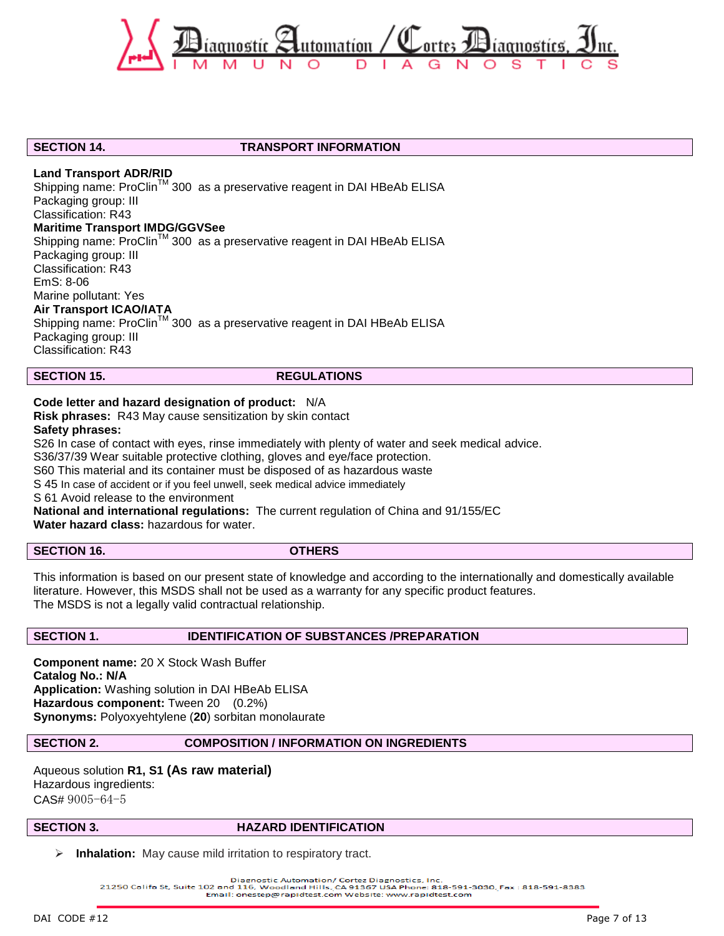

### **SECTION 14. TRANSPORT INFORMATION**

### **Land Transport ADR/RID**

Shipping name: ProClin™ 300 as a preservative reagent in DAI HBeAb ELISA Packaging group: III Classification: R43 **Maritime Transport IMDG/GGVSee** Shipping name: ProClin<sup>™</sup> 300 as a preservative reagent in DAI HBeAb ELISA Packaging group: III Classification: R43 EmS: 8-06 Marine pollutant: Yes **Air Transport ICAO/IATA** Shipping name: ProClin<sup>™</sup> 300 as a preservative reagent in DAI HBeAb ELISA Packaging group: III

Classification: R43

**SECTION 15.** REGULATIONS

### **Code letter and hazard designation of product:** N/A

**Risk phrases:** R43 May cause sensitization by skin contact

**Safety phrases:**

S26 In case of contact with eyes, rinse immediately with plenty of water and seek medical advice.

S36/37/39 Wear suitable protective clothing, gloves and eye/face protection.

S60 This material and its container must be disposed of as hazardous waste

S 45 In case of accident or if you feel unwell, seek medical advice immediately

S 61 Avoid release to the environment

**National and international regulations:** The current regulation of China and 91/155/EC

**Water hazard class:** hazardous for water.

**SECTION 16. OTHERS**

This information is based on our present state of knowledge and according to the internationally and domestically available literature. However, this MSDS shall not be used as a warranty for any specific product features. The MSDS is not a legally valid contractual relationship.

### **SECTION 1. IDENTIFICATION OF SUBSTANCES /PREPARATION**

**Component name:** 20 X Stock Wash Buffer **Catalog No.: N/A Application:** Washing solution in DAI HBeAb ELISA **Hazardous component:** Tween 20 (0.2%) **Synonyms:** Polyoxyehtylene (**20**) sorbitan monolaurate

### **SECTION 2. COMPOSITION / INFORMATION ON INGREDIENTS**

Aqueous solution **R1, S1 (As raw material)** Hazardous ingredients: CAS# 9005-64-5

### **SECTION 3. HAZARD IDENTIFICATION**

**Inhalation:** May cause mild irritation to respiratory tract.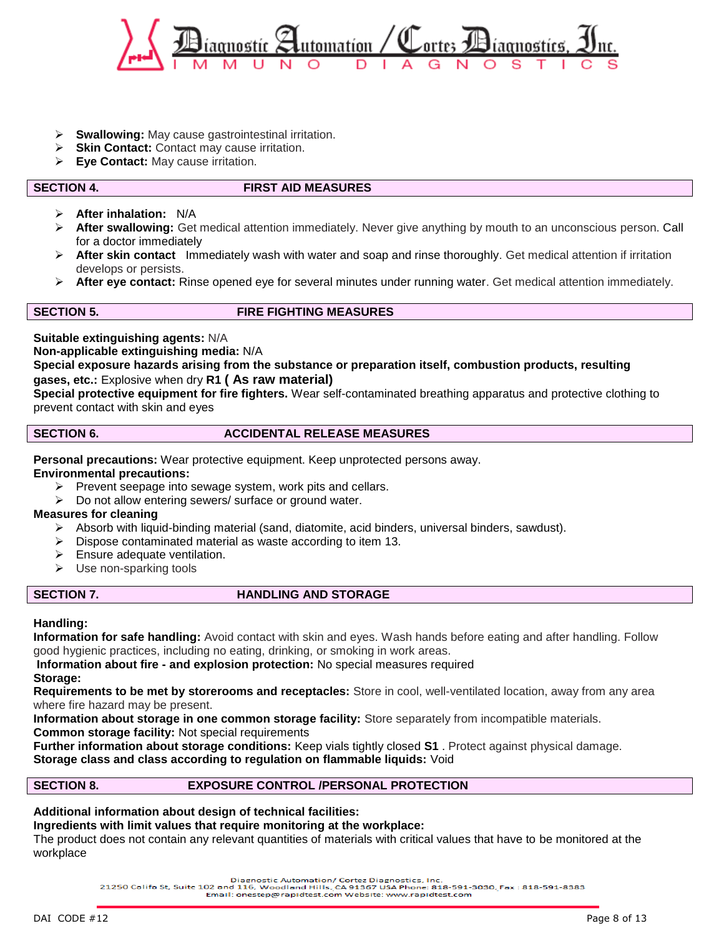

- **Swallowing:** May cause gastrointestinal irritation.
- **Skin Contact:** Contact may cause irritation.
- **Eye Contact:** May cause irritation.

### **SECTION 4. FIRST AID MEASURES**

- **After inhalation:** N/A
- **After swallowing:** Get medical attention immediately. Never give anything by mouth to an unconscious person. Call for a doctor immediately
- **After skin contact** Immediately wash with water and soap and rinse thoroughly. Get medical attention if irritation develops or persists.
- **After eye contact:** Rinse opened eye for several minutes under running water. Get medical attention immediately.

### **SECTION 5. FIRE FIGHTING MEASURES**

**Suitable extinguishing agents:** N/A

**Non-applicable extinguishing media:** N/A

### **Special exposure hazards arising from the substance or preparation itself, combustion products, resulting gases, etc.:** Explosive when dry **R1 ( As raw material)**

**Special protective equipment for fire fighters.** Wear self-contaminated breathing apparatus and protective clothing to prevent contact with skin and eyes

### **SECTION 6. ACCIDENTAL RELEASE MEASURES**

**Personal precautions:** Wear protective equipment. Keep unprotected persons away.

**Environmental precautions:**

- $\triangleright$  Prevent seepage into sewage system, work pits and cellars.
- ▶ Do not allow entering sewers/ surface or ground water.

### **Measures for cleaning**

- $\triangleright$  Absorb with liquid-binding material (sand, diatomite, acid binders, universal binders, sawdust).
- $\triangleright$  Dispose contaminated material as waste according to item 13.
- $\triangleright$  Ensure adequate ventilation.
- $\triangleright$  Use non-sparking tools

### **SECTION 7. HANDLING AND STORAGE**

### **Handling:**

**Information for safe handling:** Avoid contact with skin and eyes. Wash hands before eating and after handling. Follow good hygienic practices, including no eating, drinking, or smoking in work areas.

**Information about fire - and explosion protection:** No special measures required **Storage:**

**Requirements to be met by storerooms and receptacles:** Store in cool, well-ventilated location, away from any area where fire hazard may be present.

**Information about storage in one common storage facility:** Store separately from incompatible materials.

**Common storage facility:** Not special requirements

**Further information about storage conditions:** Keep vials tightly closed **S1** . Protect against physical damage. **Storage class and class according to regulation on flammable liquids:** Void

### **SECTION 8. EXPOSURE CONTROL /PERSONAL PROTECTION**

**Additional information about design of technical facilities:**

# **Ingredients with limit values that require monitoring at the workplace:**

The product does not contain any relevant quantities of materials with critical values that have to be monitored at the workplace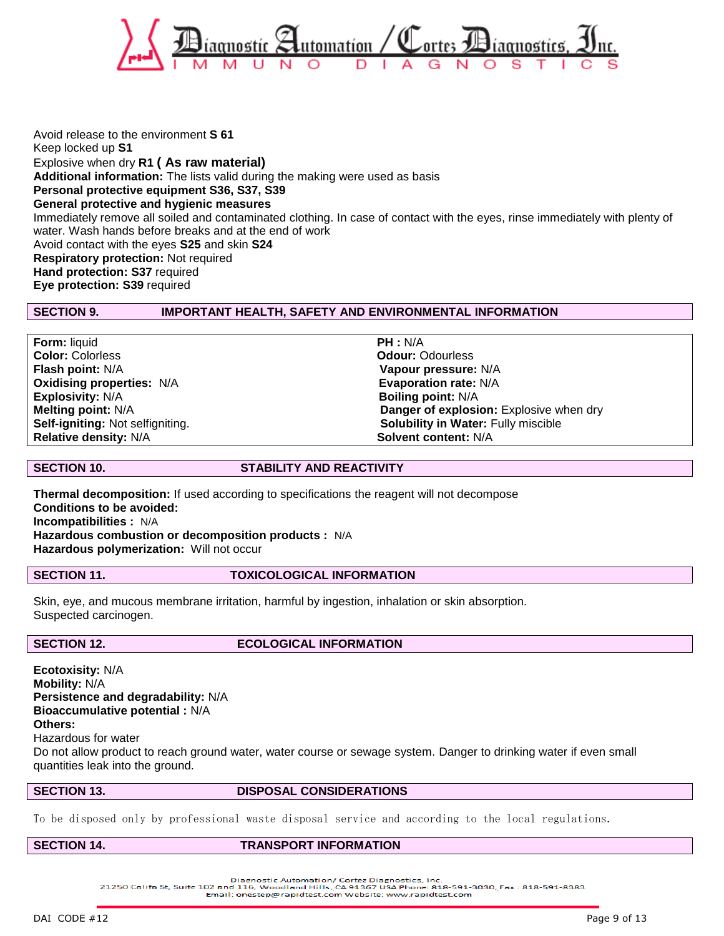

Avoid release to the environment **S 61** Keep locked up **S1** Explosive when dry **R1 ( As raw material) Additional information:** The lists valid during the making were used as basis **Personal protective equipment S36, S37, S39 General protective and hygienic measures** Immediately remove all soiled and contaminated clothing. In case of contact with the eyes, rinse immediately with plenty of water. Wash hands before breaks and at the end of work Avoid contact with the eyes **S25** and skin **S24 Respiratory protection:** Not required **Hand protection: S37** required **Eye protection: S39** required

### **SECTION 9. IMPORTANT HEALTH, SAFETY AND ENVIRONMENTAL INFORMATION**

| <b>Form: liquid</b>              | PH : N/A                                   |
|----------------------------------|--------------------------------------------|
| <b>Color: Colorless</b>          | <b>Odour: Odourless</b>                    |
| <b>Flash point: N/A</b>          | Vapour pressure: N/A                       |
| <b>Oxidising properties: N/A</b> | Evaporation rate: N/A                      |
| <b>Explosivity: N/A</b>          | <b>Boiling point: N/A</b>                  |
| <b>Melting point: N/A</b>        | Danger of explosion: Explosive when dry    |
| Self-igniting: Not selfigniting. | <b>Solubility in Water: Fully miscible</b> |
| <b>Relative density: N/A</b>     | Solvent content: N/A                       |

**SECTION 10. STABILITY AND REACTIVITY**

**Thermal decomposition:** If used according to specifications the reagent will not decompose **Conditions to be avoided: Incompatibilities :** N/A **Hazardous combustion or decomposition products :** N/A **Hazardous polymerization:** Will not occur

### **SECTION 11. TOXICOLOGICAL INFORMATION**

Skin, eye, and mucous membrane irritation, harmful by ingestion, inhalation or skin absorption. Suspected carcinogen.

### **SECTION 12.** ECOLOGICAL INFORMATION

**Ecotoxisity:** N/A **Mobility:** N/A **Persistence and degradability:** N/A **Bioaccumulative potential :** N/A **Others:** Hazardous for water

Do not allow product to reach ground water, water course or sewage system. Danger to drinking water if even small quantities leak into the ground.

### **SECTION 13. DISPOSAL CONSIDERATIONS**

To be disposed only by professional waste disposal service and according to the local regulations.

### **SECTION 14. TRANSPORT INFORMATION**

Diagnostic Automation/ Cortez Diagnostics, Inc.<br>21250 Califa St, Suite 102 and 116, Woodland Hills, CA 91367 USA Phone: 818-591-3030, Fax: 818-591-8383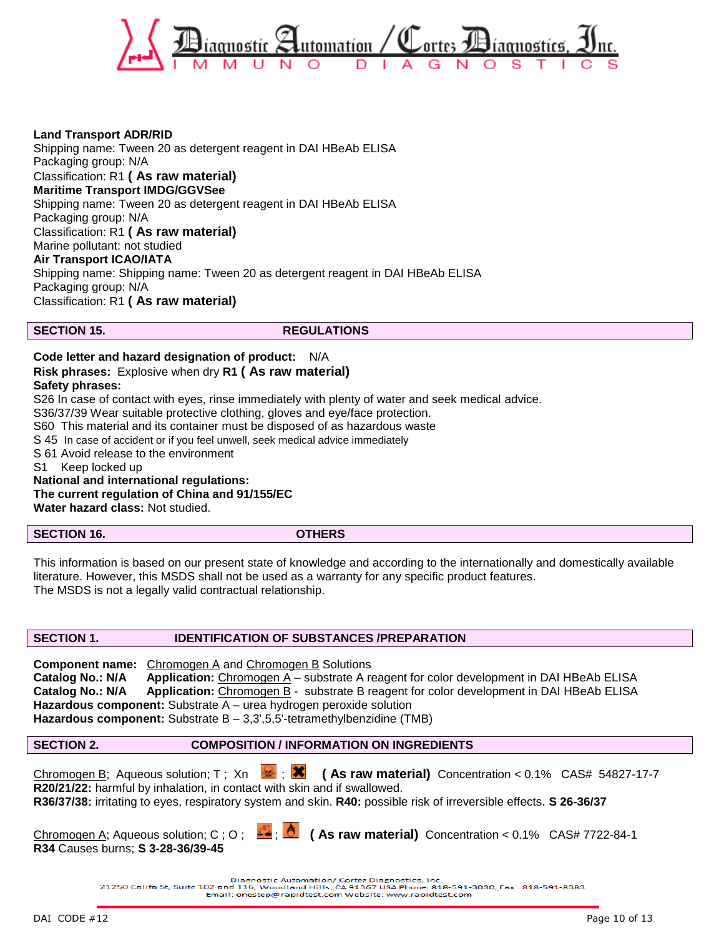

**Land Transport ADR/RID** Shipping name: Tween 20 as detergent reagent in DAI HBeAb ELISA Packaging group: N/A Classification: R1 **( As raw material) Maritime Transport IMDG/GGVSee** Shipping name: Tween 20 as detergent reagent in DAI HBeAb ELISA Packaging group: N/A Classification: R1 **( As raw material)** Marine pollutant: not studied **Air Transport ICAO/IATA** Shipping name: Shipping name: Tween 20 as detergent reagent in DAI HBeAb ELISA Packaging group: N/A Classification: R1 **( As raw material)**

**SECTION 15.** REGULATIONS

### **Code letter and hazard designation of product:** N/A

### **Risk phrases:** Explosive when dry **R1 ( As raw material)**

### **Safety phrases:**

S26 In case of contact with eyes, rinse immediately with plenty of water and seek medical advice.

S36/37/39 Wear suitable protective clothing, gloves and eye/face protection.

S60 This material and its container must be disposed of as hazardous waste

S 45 In case of accident or if you feel unwell, seek medical advice immediately

S 61 Avoid release to the environment

S1 Keep locked up

**National and international regulations: The current regulation of China and 91/155/EC Water hazard class:** Not studied.

**SECTION 16. OTHERS**

This information is based on our present state of knowledge and according to the internationally and domestically available literature. However, this MSDS shall not be used as a warranty for any specific product features. The MSDS is not a legally valid contractual relationship.

### **SECTION 1. IDENTIFICATION OF SUBSTANCES /PREPARATION**

**Component name:** Chromogen A and Chromogen B Solutions **Catalog No.: N/A Application:** Chromogen A – substrate A reagent for color development in DAI HBeAb ELISA **Catalog No.: N/A Application:** Chromogen B - substrate B reagent for color development in DAI HBeAb ELISA **Hazardous component:** Substrate A – urea hydrogen peroxide solution Hazardous component: Substrate B - 3,3',5,5'-tetramethylbenzidine (TMB)

### **SECTION 2. COMPOSITION / INFORMATION ON INGREDIENTS**

Chromogen B; Aqueous solution; T; Xn  $\bullet$ ; **X** (As raw material) Concentration < 0.1% CAS# 54827-17-7 **R20/21/22:** harmful by inhalation, in contact with skin and if swallowed. **R36/37/38:** irritating to eyes, respiratory system and skin. **R40:** possible risk of irreversible effects. **S 26-36/37**

**R34** Causes burns; **S 3-28-36/39-45**

Chromogen A; Aqueous solution; C ; O ;  $\frac{1}{2}$  ;  $\frac{1}{2}$  (As raw material) Concentration < 0.1% CAS# 7722-84-1

Diagnostic Automation/ Cortez Diagnostics, Inc.<br>21250 Califa St, Suite 102 and 116, Woodland Hills, CA 91367 USA Phone: 818-591-3030, Fax: 818-591-8383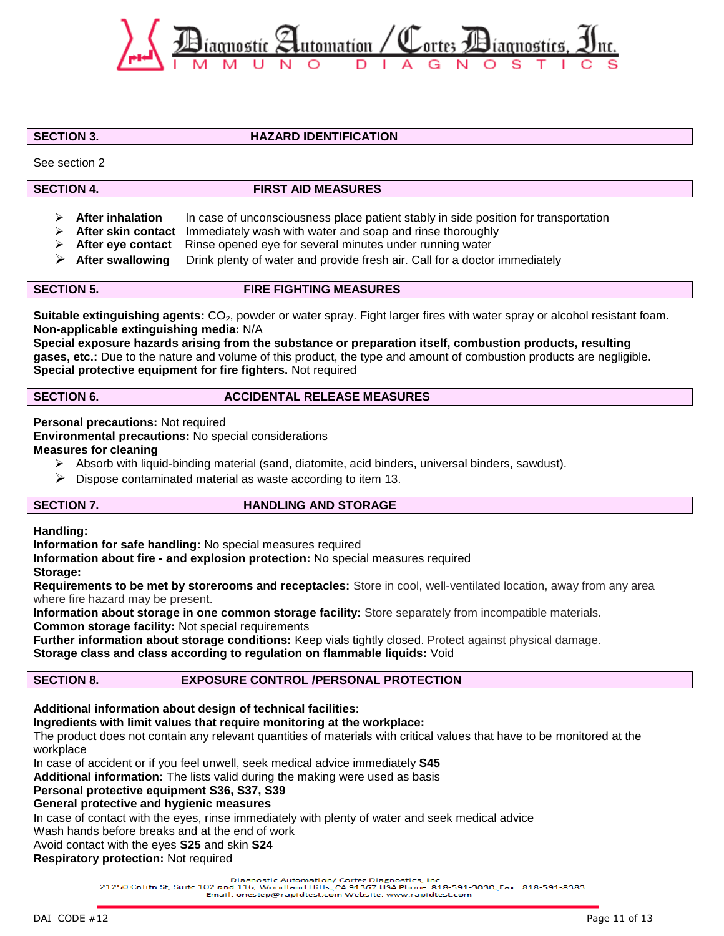

**SECTION 3. HAZARD IDENTIFICATION**

See section 2

# **SECTION 4. FIRST AID MEASURES**

- **After inhalation** In case of unconsciousness place patient stably in side position for transportation
- **After skin contact** Immediately wash with water and soap and rinse thoroughly
- **After eye contact** Rinse opened eye for several minutes under running water
- **After swallowing** Drink plenty of water and provide fresh air. Call for a doctor immediately

### **SECTION 5. FIRE FIGHTING MEASURES**

**Suitable extinguishing agents:** CO<sub>2</sub>, powder or water spray. Fight larger fires with water spray or alcohol resistant foam. **Non-applicable extinguishing media:** N/A

**Special exposure hazards arising from the substance or preparation itself, combustion products, resulting gases, etc.:** Due to the nature and volume of this product, the type and amount of combustion products are negligible. **Special protective equipment for fire fighters.** Not required

### **SECTION 6.** ACCIDENTAL RELEASE MEASURES

**Personal precautions:** Not required **Environmental precautions:** No special considerations **Measures for cleaning**

- $\triangleright$  Absorb with liquid-binding material (sand, diatomite, acid binders, universal binders, sawdust).
- $\triangleright$  Dispose contaminated material as waste according to item 13.

### **SECTION 7.** HANDLING AND STORAGE

**Handling:**

**Information for safe handling:** No special measures required

**Information about fire - and explosion protection:** No special measures required

**Storage:**

**Requirements to be met by storerooms and receptacles:** Store in cool, well-ventilated location, away from any area where fire hazard may be present.

**Information about storage in one common storage facility:** Store separately from incompatible materials.

**Common storage facility:** Not special requirements

**Further information about storage conditions:** Keep vials tightly closed. Protect against physical damage.

**Storage class and class according to regulation on flammable liquids:** Void

# **SECTION 8. EXPOSURE CONTROL /PERSONAL PROTECTION**

# **Additional information about design of technical facilities:**

# **Ingredients with limit values that require monitoring at the workplace:**

The product does not contain any relevant quantities of materials with critical values that have to be monitored at the workplace

In case of accident or if you feel unwell, seek medical advice immediately **S45**

**Additional information:** The lists valid during the making were used as basis

### **Personal protective equipment S36, S37, S39**

**General protective and hygienic measures**

In case of contact with the eyes, rinse immediately with plenty of water and seek medical advice

Wash hands before breaks and at the end of work

# Avoid contact with the eyes **S25** and skin **S24**

**Respiratory protection:** Not required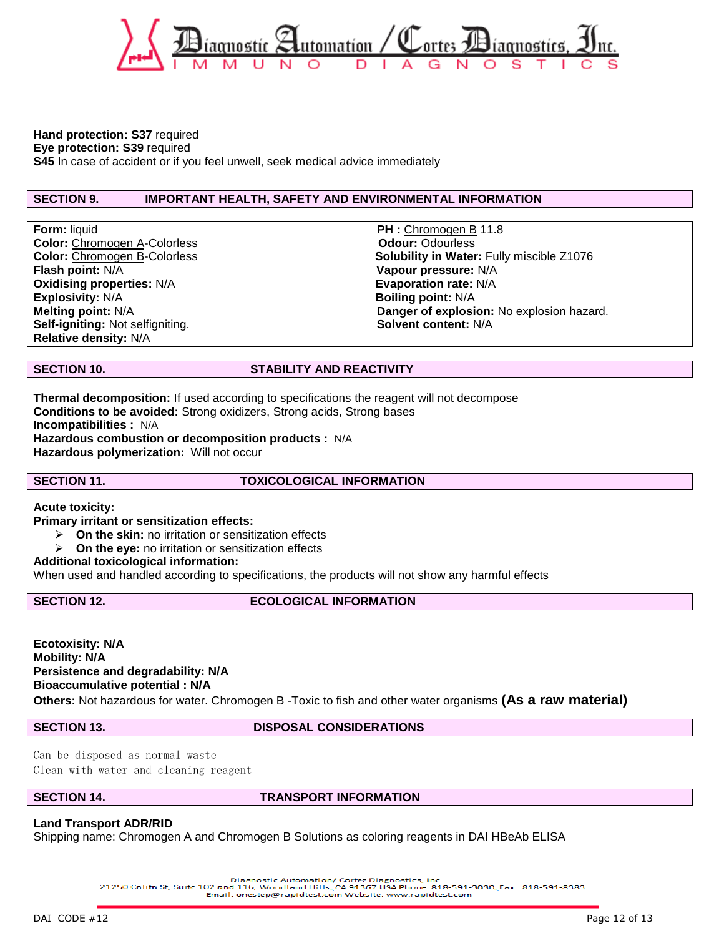

### **Hand protection: S37** required

**Eye protection: S39** required

**S45** In case of accident or if you feel unwell, seek medical advice immediately

### **SECTION 9. IMPORTANT HEALTH, SAFETY AND ENVIRONMENTAL INFORMATION**

**Form:** liquid **PH : Chromogen B 11.8 Color:** Chromogen A-Colorless **Color:** Odour: Odourless **Flash point:** N/A **Vapour pressure:** N/A **Oxidising properties:**  $N/A$  **Evaporation rate:**  $N/A$ **Explosivity:** N/A **Boiling point:** N/A **Self-igniting: Not selfigniting. Relative density:** N/A

**Color: Chromogen B-Colorless Solubility in Water: Fully miscible Z1076 Melting point:** N/A **Danger of explosion:** No explosion hazard.

### **SECTION 10. STABILITY AND REACTIVITY**

**Thermal decomposition:** If used according to specifications the reagent will not decompose **Conditions to be avoided:** Strong oxidizers, Strong acids, Strong bases **Incompatibilities :** N/A **Hazardous combustion or decomposition products :** N/A **Hazardous polymerization:** Will not occur

**SECTION 11. TOXICOLOGICAL INFORMATION**

**Acute toxicity:**

**Primary irritant or sensitization effects:**

- **On the skin:** no irritation or sensitization effects
- **On the eye:** no irritation or sensitization effects

### **Additional toxicological information:**

When used and handled according to specifications, the products will not show any harmful effects

### **SECTION 12.** ECOLOGICAL INFORMATION

**Ecotoxisity: N/A Mobility: N/A Persistence and degradability: N/A Bioaccumulative potential : N/A Others:** Not hazardous for water. Chromogen B -Toxic to fish and other water organisms **(As a raw material)**

### **SECTION 13. DISPOSAL CONSIDERATIONS**

Can be disposed as normal waste Clean with water and cleaning reagent

### **SECTION 14. TRANSPORT INFORMATION**

### **Land Transport ADR/RID**

Shipping name: Chromogen A and Chromogen B Solutions as coloring reagents in DAI HBeAb ELISA

Diagnostic Automation/ Cortez Diagnostics, Inc.<br>21250 Califa St, Suite 102 and 116, Woodland Hills, CA 91367 USA Phone: 818-591-3030, Fax: 818-591-8383